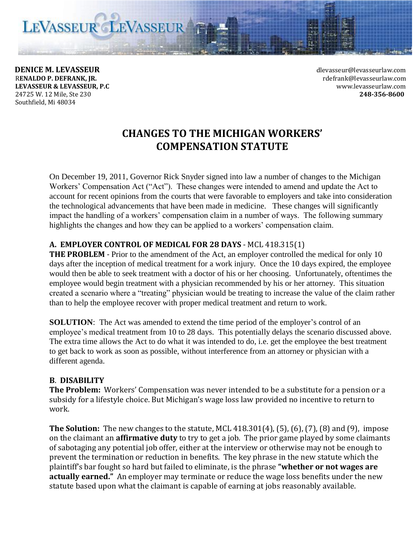LEVASSEUR LEVASSEUR

**DENICE M. LEVASSEUR** devasseurlaw.com R**ENALDO P. DEFRANK, JR.** rdefrank@levasseurlaw.com **LEVASSEUR & LEVASSEUR, P.C** www.levasseurlaw.com 24725 W. 12 Mile, Ste 230 **248-356-8600** Southfield, Mi 48034

# **CHANGES TO THE MICHIGAN WORKERS' COMPENSATION STATUTE**

On December 19, 2011, Governor Rick Snyder signed into law a number of changes to the Michigan Workers' Compensation Act ("Act"). These changes were intended to amend and update the Act to account for recent opinions from the courts that were favorable to employers and take into consideration the technological advancements that have been made in medicine. These changes will significantly impact the handling of a workers' compensation claim in a number of ways. The following summary highlights the changes and how they can be applied to a workers' compensation claim.

## **A. EMPLOYER CONTROL OF MEDICAL FOR 28 DAYS** - MCL 418.315(1)

**THE PROBLEM** - Prior to the amendment of the Act, an employer controlled the medical for only 10 days after the inception of medical treatment for a work injury. Once the 10 days expired, the employee would then be able to seek treatment with a doctor of his or her choosing. Unfortunately, oftentimes the employee would begin treatment with a physician recommended by his or her attorney. This situation created a scenario where a "treating" physician would be treating to increase the value of the claim rather than to help the employee recover with proper medical treatment and return to work.

**SOLUTION:** The Act was amended to extend the time period of the employer's control of an employee's medical treatment from 10 to 28 days. This potentially delays the scenario discussed above. The extra time allows the Act to do what it was intended to do, i.e. get the employee the best treatment to get back to work as soon as possible, without interference from an attorney or physician with a different agenda.

#### **B**. **DISABILITY**

**The Problem:** Workers' Compensation was never intended to be a substitute for a pension or a subsidy for a lifestyle choice. But Michigan's wage loss law provided no incentive to return to work.

**The Solution:** The new changes to the statute, MCL 418.301(4), (5), (6), (7), (8) and (9), impose on the claimant an **affirmative duty** to try to get a job. The prior game played by some claimants of sabotaging any potential job offer, either at the interview or otherwise may not be enough to prevent the termination or reduction in benefits. The key phrase in the new statute which the plaintiff's bar fought so hard but failed to eliminate, is the phrase **"whether or not wages are actually earned."** An employer may terminate or reduce the wage loss benefits under the new statute based upon what the claimant is capable of earning at jobs reasonably available.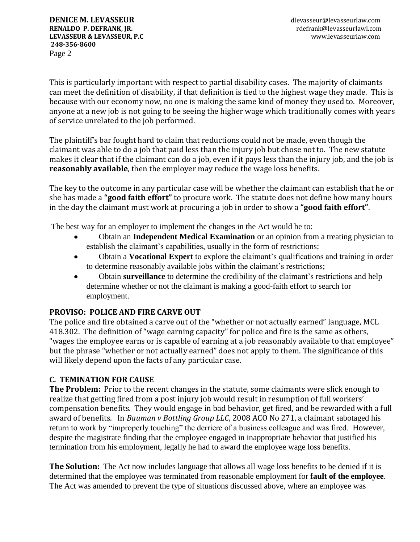This is particularly important with respect to partial disability cases. The majority of claimants can meet the definition of disability, if that definition is tied to the highest wage they made. This is because with our economy now, no one is making the same kind of money they used to. Moreover, anyone at a new job is not going to be seeing the higher wage which traditionally comes with years of service unrelated to the job performed.

The plaintiff's bar fought hard to claim that reductions could not be made, even though the claimant was able to do a job that paid less than the injury job but chose not to. The new statute makes it clear that if the claimant can do a job, even if it pays less than the injury job, and the job is **reasonably available**, then the employer may reduce the wage loss benefits.

The key to the outcome in any particular case will be whether the claimant can establish that he or she has made a **"good faith effort"** to procure work. The statute does not define how many hours in the day the claimant must work at procuring a job in order to show a **"good faith effort"**.

The best way for an employer to implement the changes in the Act would be to:

- Obtain an **Independent Medical Examination** or an opinion from a treating physician to  $\bullet$ establish the claimant's capabilities, usually in the form of restrictions;
- Obtain a **Vocational Expert** to explore the claimant's qualifications and training in order  $\bullet$ to determine reasonably available jobs within the claimant's restrictions;
- Obtain **surveillance** to determine the credibility of the claimant's restrictions and help  $\bullet$ determine whether or not the claimant is making a good-faith effort to search for employment.

# **PROVISO: POLICE AND FIRE CARVE OUT**

The police and fire obtained a carve out of the "whether or not actually earned" language, MCL 418.302. The definition of "wage earning capacity" for police and fire is the same as others, "wages the employee earns or is capable of earning at a job reasonably available to that employee" but the phrase "whether or not actually earned" does not apply to them. The significance of this will likely depend upon the facts of any particular case.

# **C. TEMINATION FOR CAUSE**

**The Problem:** Prior to the recent changes in the statute, some claimants were slick enough to realize that getting fired from a post injury job would result in resumption of full workers' compensation benefits. They would engage in bad behavior, get fired, and be rewarded with a full award of benefits. In *Bauman v Bottling Group LLC*, 2008 ACO No 271, a claimant sabotaged his return to work by "improperly touching" the derriere of a business colleague and was fired. However, despite the magistrate finding that the employee engaged in inappropriate behavior that justified his termination from his employment, legally he had to award the employee wage loss benefits.

**The Solution:** The Act now includes language that allows all wage loss benefits to be denied if it is determined that the employee was terminated from reasonable employment for **fault of the employee**. The Act was amended to prevent the type of situations discussed above, where an employee was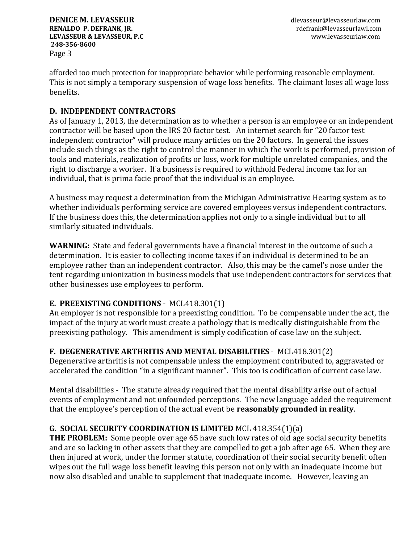afforded too much protection for inappropriate behavior while performing reasonable employment. This is not simply a temporary suspension of wage loss benefits. The claimant loses all wage loss benefits.

# **D. INDEPENDENT CONTRACTORS**

As of January 1, 2013, the determination as to whether a person is an employee or an independent contractor will be based upon the IRS 20 factor test. An internet search for "20 factor test independent contractor" will produce many articles on the 20 factors. In general the issues include such things as the right to control the manner in which the work is performed, provision of tools and materials, realization of profits or loss, work for multiple unrelated companies, and the right to discharge a worker. If a business is required to withhold Federal income tax for an individual, that is prima facie proof that the individual is an employee.

A business may request a determination from the Michigan Administrative Hearing system as to whether individuals performing service are covered employees versus independent contractors. If the business does this, the determination applies not only to a single individual but to all similarly situated individuals.

**WARNING:** State and federal governments have a financial interest in the outcome of such a determination. It is easier to collecting income taxes if an individual is determined to be an employee rather than an independent contractor. Also, this may be the camel's nose under the tent regarding unionization in business models that use independent contractors for services that other businesses use employees to perform.

# **E. PREEXISTING CONDITIONS** - MCL418.301(1)

An employer is not responsible for a preexisting condition. To be compensable under the act, the impact of the injury at work must create a pathology that is medically distinguishable from the preexisting pathology. This amendment is simply codification of case law on the subject.

# **F. DEGENERATIVE ARTHRITIS AND MENTAL DISABILITIES** - MCL418.301(2)

Degenerative arthritis is not compensable unless the employment contributed to, aggravated or accelerated the condition "in a significant manner". This too is codification of current case law.

Mental disabilities - The statute already required that the mental disability arise out of actual events of employment and not unfounded perceptions. The new language added the requirement that the employee's perception of the actual event be **reasonably grounded in reality**.

# **G. SOCIAL SECURITY COORDINATION IS LIMITED** MCL 418.354(1)(a)

**THE PROBLEM:** Some people over age 65 have such low rates of old age social security benefits and are so lacking in other assets that they are compelled to get a job after age 65. When they are then injured at work, under the former statute, coordination of their social security benefit often wipes out the full wage loss benefit leaving this person not only with an inadequate income but now also disabled and unable to supplement that inadequate income. However, leaving an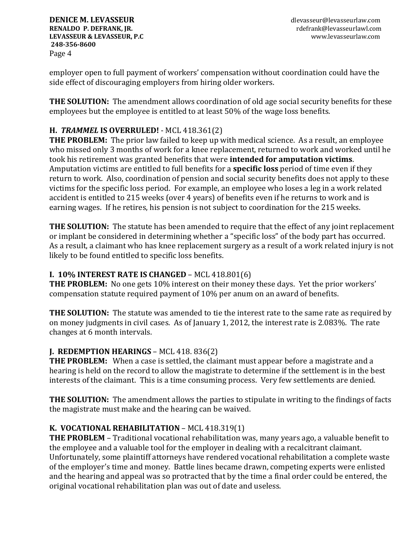**DENICE M. LEVASSEUR** dlevasseurlaw.com **RENALDO P. DEFRANK, JR. RENALDO P. DEFRANK, JR. rdefrank@levasseurlawl.com LEVASSEUR & LEVASSEUR, P.C** www.levasseurlaw.com **248-356-8600** Page 4

employer open to full payment of workers' compensation without coordination could have the side effect of discouraging employers from hiring older workers.

**THE SOLUTION:** The amendment allows coordination of old age social security benefits for these employees but the employee is entitled to at least 50% of the wage loss benefits.

# **H.** *TRAMMEL* **IS OVERRULED!** - MCL 418.361(2)

**THE PROBLEM:** The prior law failed to keep up with medical science. As a result, an employee who missed only 3 months of work for a knee replacement, returned to work and worked until he took his retirement was granted benefits that were **intended for amputation victims**. Amputation victims are entitled to full benefits for a **specific loss** period of time even if they return to work. Also, coordination of pension and social security benefits does not apply to these victims for the specific loss period. For example, an employee who loses a leg in a work related accident is entitled to 215 weeks (over 4 years) of benefits even if he returns to work and is earning wages. If he retires, his pension is not subject to coordination for the 215 weeks.

**THE SOLUTION:** The statute has been amended to require that the effect of any joint replacement or implant be considered in determining whether a "specific loss" of the body part has occurred. As a result, a claimant who has knee replacement surgery as a result of a work related injury is not likely to be found entitled to specific loss benefits.

# **I. 10% INTEREST RATE IS CHANGED** – MCL 418.801(6)

**THE PROBLEM:** No one gets 10% interest on their money these days. Yet the prior workers' compensation statute required payment of 10% per anum on an award of benefits.

**THE SOLUTION:** The statute was amended to tie the interest rate to the same rate as required by on money judgments in civil cases. As of January 1, 2012, the interest rate is 2.083%. The rate changes at 6 month intervals.

# **J. REDEMPTION HEARINGS - MCL 418. 836(2)**

**THE PROBLEM:** When a case is settled, the claimant must appear before a magistrate and a hearing is held on the record to allow the magistrate to determine if the settlement is in the best interests of the claimant. This is a time consuming process. Very few settlements are denied.

**THE SOLUTION:** The amendment allows the parties to stipulate in writing to the findings of facts the magistrate must make and the hearing can be waived.

# **K. VOCATIONAL REHABILITATION** – MCL 418.319(1)

**THE PROBLEM** – Traditional vocational rehabilitation was, many years ago, a valuable benefit to the employee and a valuable tool for the employer in dealing with a recalcitrant claimant. Unfortunately, some plaintiff attorneys have rendered vocational rehabilitation a complete waste of the employer's time and money. Battle lines became drawn, competing experts were enlisted and the hearing and appeal was so protracted that by the time a final order could be entered, the original vocational rehabilitation plan was out of date and useless.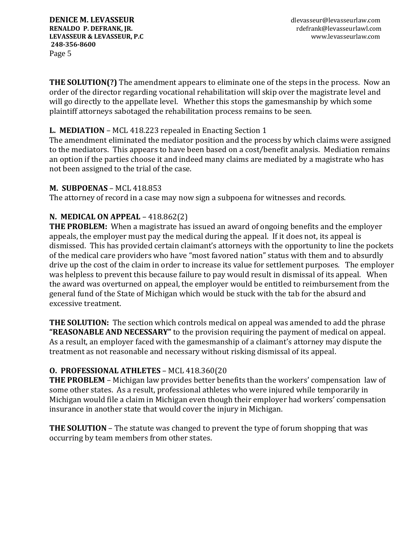**THE SOLUTION(?)** The amendment appears to eliminate one of the steps in the process. Now an order of the director regarding vocational rehabilitation will skip over the magistrate level and will go directly to the appellate level. Whether this stops the gamesmanship by which some plaintiff attorneys sabotaged the rehabilitation process remains to be seen.

# **L. MEDIATION** – MCL 418.223 repealed in Enacting Section 1

The amendment eliminated the mediator position and the process by which claims were assigned to the mediators. This appears to have been based on a cost/benefit analysis. Mediation remains an option if the parties choose it and indeed many claims are mediated by a magistrate who has not been assigned to the trial of the case.

## **M. SUBPOENAS** – MCL 418.853

The attorney of record in a case may now sign a subpoena for witnesses and records.

# **N. MEDICAL ON APPEAL** – 418.862(2)

**THE PROBLEM:** When a magistrate has issued an award of ongoing benefits and the employer appeals, the employer must pay the medical during the appeal. If it does not, its appeal is dismissed. This has provided certain claimant's attorneys with the opportunity to line the pockets of the medical care providers who have "most favored nation" status with them and to absurdly drive up the cost of the claim in order to increase its value for settlement purposes. The employer was helpless to prevent this because failure to pay would result in dismissal of its appeal. When the award was overturned on appeal, the employer would be entitled to reimbursement from the general fund of the State of Michigan which would be stuck with the tab for the absurd and excessive treatment.

**THE SOLUTION:** The section which controls medical on appeal was amended to add the phrase **"REASONABLE AND NECESSARY"** to the provision requiring the payment of medical on appeal. As a result, an employer faced with the gamesmanship of a claimant's attorney may dispute the treatment as not reasonable and necessary without risking dismissal of its appeal.

# **O. PROFESSIONAL ATHLETES** – MCL 418.360(20

**THE PROBLEM** – Michigan law provides better benefits than the workers' compensation law of some other states. As a result, professional athletes who were injured while temporarily in Michigan would file a claim in Michigan even though their employer had workers' compensation insurance in another state that would cover the injury in Michigan.

**THE SOLUTION** – The statute was changed to prevent the type of forum shopping that was occurring by team members from other states.